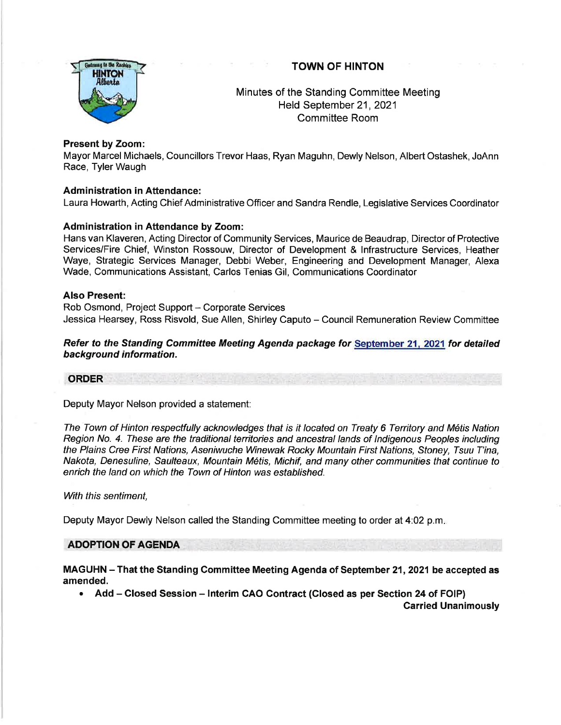## TOWN OF HINTON



# Minutes of the Standing Committee Meeting Held September 21,2021 Committee Room

## Present by Zoom:

Mayor Marcel Michaels, Councillors Trevor Haas, Ryan Maguhn, Dewly Nelson, Albert Ostashek, JoAnn Race, Tyler Waugh

## **Administration in Attendance:**

Laura Howarth, Acting Chief Administrative Officer and Sandra Rendle, Legislative Services Coordinator

## Administration in Attendance by Zoom:

Hans van Klaveren, Acting Director of Community Services, Maurice de Beaudrap, Director of Protective Services/Fire Chief, Winston Rossouw, Director of Development & lnfrastructure Services, Heather Waye, Strategic Services Manager, Debbi Weber, Engineering and Development Manager, Alexa Wade, Communications Assistant, Carlos Tenias Gil, Communications Coordinator

#### Also Present:

Rob Osmond, Project Support - Corporate Services Jessica Hearsey, Ross Risvold, Sue Allen, Shirley Caputo - Council Remuneration Review Committee

## Refer to the Standing Committee Meeting Agenda package for September 21, 2021 for detailed background information.

#### ORDER

Deputy Mayor Nelson provided a statement:

The Town of Hinton respectfully acknowledges that is it located on Treaty 6 Territory and M6tis Nation Region No. 4. These are the traditional territories and ancestral lands of Indigenous Peoples including the Plains Cree First Nations, Aseniwuche Winewak Rocky Mountain First Nations, Sfoney, Tsuu T'ina, Nakota, Denesuline, Saulteaux, Mountain Mdtis, Michif, and many other communities that continue to enrich the land on which the Town of Hinton was established.

#### With this sentiment.

Deputy Mayor Dewly Nelson called the Standing Committee meeting to order at 4:02 p.m

#### ADOPTION OF AGENDA

MAGUHN - That the Standing Committee Meeting Agenda of September 21, 2021 be accepted as amended.

• Add – Closed Session – Interim CAO Contract (Closed as per Section 24 of FOIP)

Carried Unanimously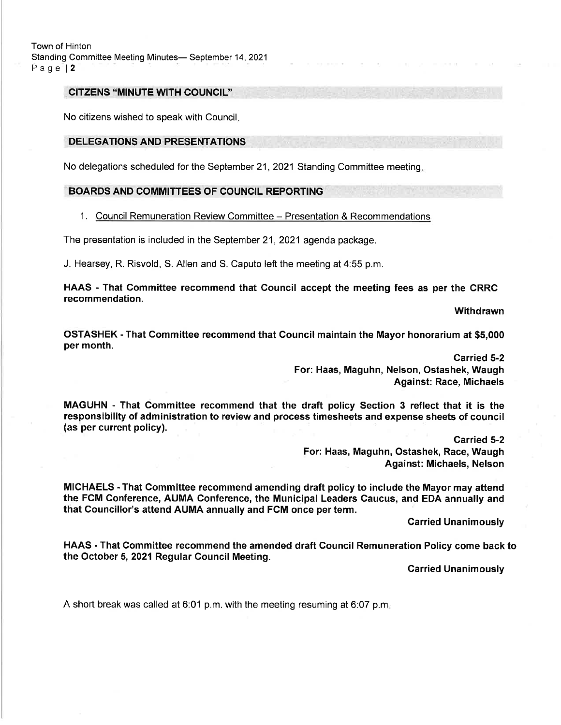#### CITZENS "MINUTE WITH COUNCIL''

No citizens wished to speak with Council

## DELEGATIONS AND PRESENTATIONS

No delegations scheduled for the September 21, 2021 Standing Committee meeting.

#### BOARDS AND COMMITTEES OF COUNCIL REPORTING

#### 1. Council Remuneration Review Committee - Presentation & Recommendations

The presentation is included in the September 21, 2021 agenda package.

J. Hearsey, R. Risvold, S. Allen and S. Caputo left the meeting at 4:55 p.m.

HAAS - That Committee recommend that Council accept the meeting fees as per the CRRC recommendation.

**Withdrawn** 

OSTASHEK - That Committee recommend that Council maintain the Mayor honorarium at \$5,000 per month.

> Carried 5-2 For: Haas, Maguhn, Nelson, Ostashek, Waugh Against: Race, Michaels

MAGUHN - That Committee recommend that the draft policy Section 3 reflect that it is the responsibility of administration to review and process timesheets and expense sheets of council (as per current policy).

> carried 5-2 For: Haas, Maguhn, Ostashek, Race, Waugh Against: Michaels, Nelson

MICHAELS - That Committee recommend amending draft policy to include the Mayor may attend the FCM Conference, AUMA Conference, the Municipal Leaders Caucus, and EDA annually and that Councillor's attend AUMA annually and FCM once per term.

Carried Unanimously

HAAS - That Committee recommend the amended draft Gouncil Remuneration Policy come back to the October 5,2021 Regular Gouncil Meeting.

Carried Unanimously

A short break was called at 6:01 p.m. with the meeting resuming at 6:07 p.m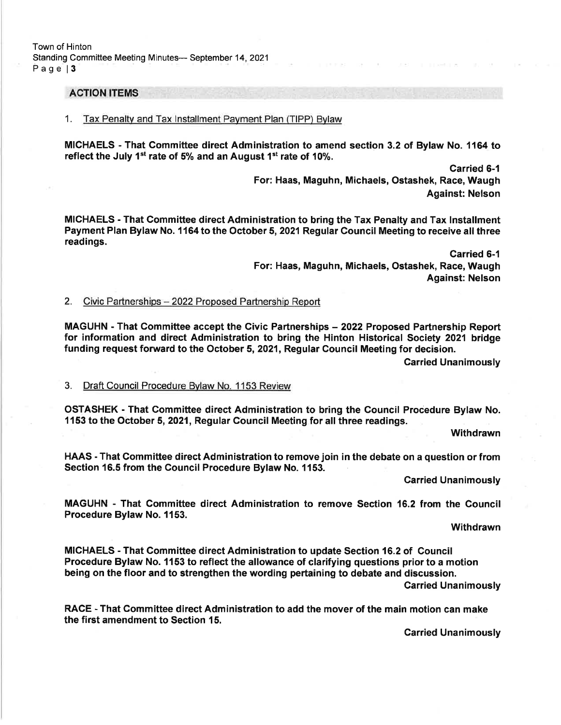## ACTION ITEMS

#### 1. Tax Penaltv and Tax lnstallment Pavment Plan (TIPP) Bvlaw

MICHAELS - That Gommittee direct Administration to amend section 3.2 of Bylaw No. 1164 to reflect the July 1<sup>st</sup> rate of 5% and an August 1<sup>st</sup> rate of 10%.

> Carried 6-1 For: Haas, Maguhn, Michaels, Ostashek, Race, Waugh Against: Nelson

MICHAELS - That Committee direct Administration to bring the Tax Penalty and Tax lnstallment Payment Plan Bylaw No. 1164 to the October 5,2021 Regular Council Meeting to receive all three readings.

> Carried 6-1 For: Haas, Maguhn, Michaels, Ostashek, Race, Waugh Against: Nelson

#### 2. Civic Partnerships - 2022 Proposed Partnership Report

MAGUHN - That Gommittee accept the Civic Partnerships - 2022 Proposed Partnership Report for information and direct Administration to bring the Hinton Historical Society 2021 bridge funding request forward to the October 5, 2021, Regular Council Meeting for decision.

Carried Unanimously

#### 3. Draft Council Procedure Bvlaw No. 1 153 Review

OSTASHEK - That Gommittee direct Administration to bring the Gouncil Procedure Bylaw No. 1153 to the October 5, 2021, Regular Council Meeting for all three readings.

**Withdrawn** 

HAAS - That Committee direct Administration to remove join in the debate on a question or from Section 16.5 from the Council Procedure Bylaw No. 1153.

**Carried Unanimously** 

MAGUHN - That Committee direct Administration to remove Section 16.2 from the Council Procedure Bylaw No. 1153.

Withdrawn

MICHAELS - That Committee direct Administration to update Section 16.2 of Council Procedure Bylaw No. 1153 to reflect the allowance of clarifying questions prior to a motion being on the floor and to strengthen the wording pertaining to debate and discussion. Garried Unanimously

RACE - That Committee direct Administration to add the mover of the main motion can make the first amendment to Section 15.

Carried Unanimously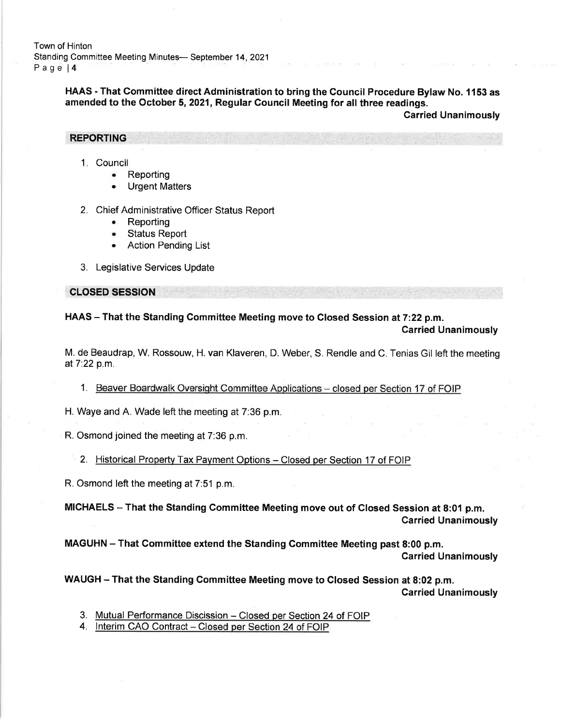Town of Hinton Standing Committee Meeting Minutes- September 14, 2021 Page l4

> HAAS - That Committee direct Administration to bring the Council Procedure Bylaw No. 1153 as amended to the October 5,2021, Regular Council Meeting for all three readings.

Carried Unanimously

REPORTING

- 1. Council
	- . Reporting
	- . Urgent Matters

2. Chief Administrative Officer Status Report

- . Reporting
- . Status Report
- . Action Pending List
- 3. Legislative Services Update

CLOSED SESSION

HAAS - That the Standing Committee Meeting move to Closed Session at 7:22 p.m. Garried Unanimously

M. de Beaudrap, W. Rossouw, H. van Klaveren, D. Weber, S. Rendle and C. Tenias Gil left the meeting at7.22 p.m.

1. Beaver Boardwalk Oversight Committee Applications - closed per Section 17 of FOIP

H. Waye and A. Wade left the meeting at 7:36 p.m.

R. Osmond joined the meeting at 7:36 p.m.

2. Historical Property Tax Payment Options - Closed per Section 17 of FOIP

R. Osmond left the meeting at 7:51 p.m.

MICHAELS - That the Standing Committee Meeting move out of Closed Session at 8:01 p.m. Carried Unanimously

MAGUHN - That Committee extend the Standing Committee Meeting past 8:00 p.m. Carried Unanimously

WAUGH - That the Standing Committee Meeting move to Closed Session at 8:02 p.m. Carried Unanimously

3. Mutual Performance Discission - Closed oer Section 24 of FOIP

4. Interim CAO Contract - Closed per Section 24 of FOIP